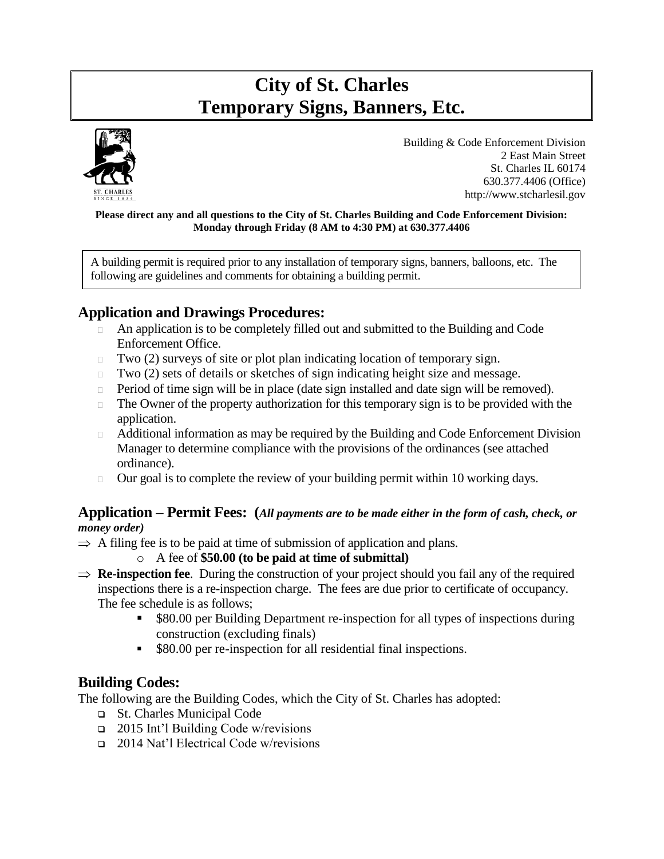# **City of St. Charles Temporary Signs, Banners, Etc.**



Building & Code Enforcement Division 2 East Main Street St. Charles IL 60174 630.377.4406 (Office) http://www.stcharlesil.gov

**Please direct any and all questions to the City of St. Charles Building and Code Enforcement Division: Monday through Friday (8 AM to 4:30 PM) at 630.377.4406**

A building permit is required prior to any installation of temporary signs, banners, balloons, etc. The following are guidelines and comments for obtaining a building permit.

# **Application and Drawings Procedures:**

- An application is to be completely filled out and submitted to the Building and Code Enforcement Office.
- $\Box$  Two (2) surveys of site or plot plan indicating location of temporary sign.
- $\Box$  Two (2) sets of details or sketches of sign indicating height size and message.
- $\Box$  Period of time sign will be in place (date sign installed and date sign will be removed).
- $\Box$  The Owner of the property authorization for this temporary sign is to be provided with the application.
- Additional information as may be required by the Building and Code Enforcement Division Manager to determine compliance with the provisions of the ordinances (see attached ordinance).
- $\Box$  Our goal is to complete the review of your building permit within 10 working days.

### **Application – Permit Fees: (***All payments are to be made either in the form of cash, check, or money order)*

- $\Rightarrow$  A filing fee is to be paid at time of submission of application and plans.
	- o A fee of **\$50.00 (to be paid at time of submittal)**
- $\Rightarrow$  **Re-inspection fee**. During the construction of your project should you fail any of the required inspections there is a re-inspection charge. The fees are due prior to certificate of occupancy. The fee schedule is as follows;
	- \$80.00 per Building Department re-inspection for all types of inspections during construction (excluding finals)
	- \$80.00 per re-inspection for all residential final inspections.

### **Building Codes:**

The following are the Building Codes, which the City of St. Charles has adopted:

- ❑ St. Charles Municipal Code
- ❑ 2015 Int'l Building Code w/revisions
- ❑ 2014 Nat'l Electrical Code w/revisions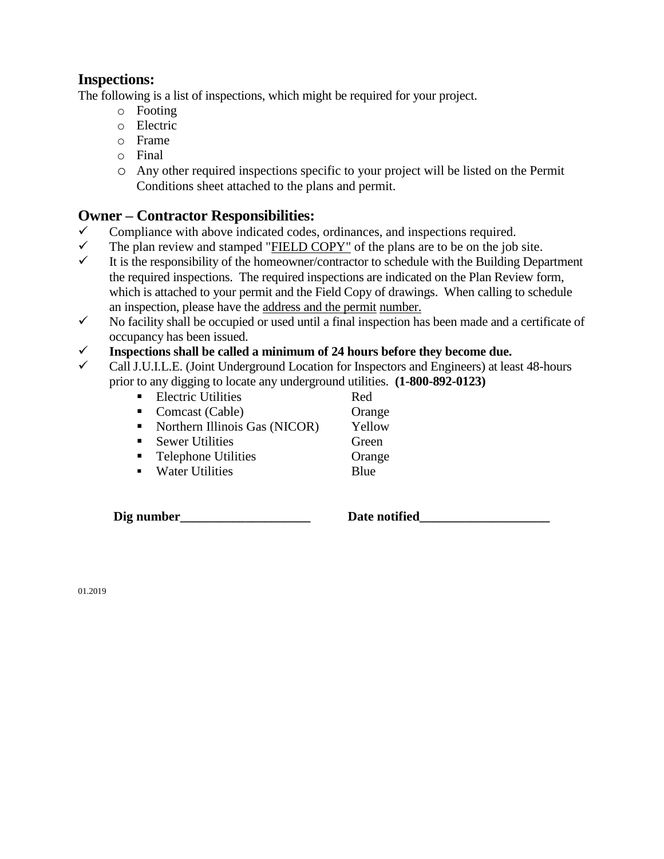# **Inspections:**

The following is a list of inspections, which might be required for your project.

- o Footing
- o Electric
- o Frame
- o Final
- o Any other required inspections specific to your project will be listed on the Permit Conditions sheet attached to the plans and permit.

# **Owner – Contractor Responsibilities:**

- $\checkmark$  Compliance with above indicated codes, ordinances, and inspections required.
- $\checkmark$  The plan review and stamped "FIELD COPY" of the plans are to be on the job site.
- $\checkmark$  It is the responsibility of the homeowner/contractor to schedule with the Building Department the required inspections. The required inspections are indicated on the Plan Review form, which is attached to your permit and the Field Copy of drawings. When calling to schedule an inspection, please have the address and the permit number.
- ✓ No facility shall be occupied or used until a final inspection has been made and a certificate of occupancy has been issued.
- ✓ **Inspections shall be called a minimum of 24 hours before they become due.**
- ✓ Call J.U.I.L.E. (Joint Underground Location for Inspectors and Engineers) at least 48-hours prior to any digging to locate any underground utilities. **(1-800-892-0123)**
	- Electric Utilities Red ■ Comcast (Cable) Orange ■ Northern Illinois Gas (NICOR) Yellow ■ Sewer Utilities Green ■ Telephone Utilities Orange ■ Water Utilities Blue

**Dig number\_\_\_\_\_\_\_\_\_\_\_\_\_\_\_\_\_\_\_\_ Date notified\_\_\_\_\_\_\_\_\_\_\_\_\_\_\_\_\_\_\_\_**

01.2019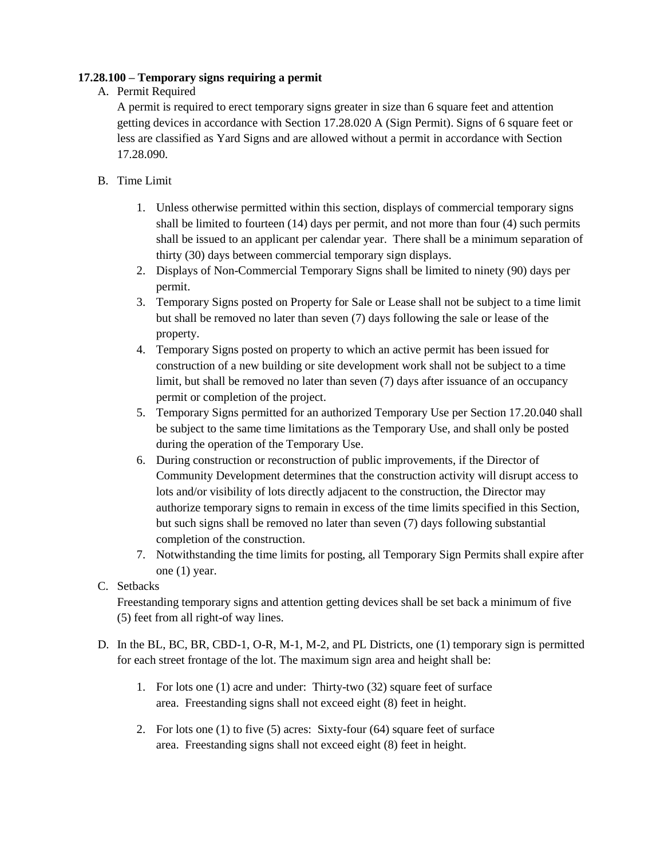#### **17.28.100 – [Temporary signs requiring a permit](https://codebook.stcharlesil.gov/1728-%E2%80%93-signs/1728100)**

#### A. Permit Required

A permit is required to erect temporary signs greater in size than 6 square feet and attention getting devices in accordance with Section 17.28.020 A (Sign Permit). Signs of 6 square feet or less are classified as Yard Signs and are allowed without a permit in accordance with Section 17.28.090.

#### B. Time Limit

- 1. Unless otherwise permitted within this section, displays of commercial temporary signs shall be limited to fourteen (14) days per permit, and not more than four (4) such permits shall be issued to an applicant per calendar year. There shall be a minimum separation of thirty (30) days between commercial temporary sign displays.
- 2. Displays of Non-Commercial Temporary Signs shall be limited to ninety (90) days per permit.
- 3. Temporary Signs posted on Property for Sale or Lease shall not be subject to a time limit but shall be removed no later than seven (7) days following the sale or lease of the property.
- 4. Temporary Signs posted on property to which an active permit has been issued for construction of a new building or site development work shall not be subject to a time limit, but shall be removed no later than seven (7) days after issuance of an occupancy permit or completion of the project.
- 5. Temporary Signs permitted for an authorized Temporary Use per Section 17.20.040 shall be subject to the same time limitations as the Temporary Use, and shall only be posted during the operation of the Temporary Use.
- 6. During construction or reconstruction of public improvements, if the Director of Community Development determines that the construction activity will disrupt access to lots and/or visibility of lots directly adjacent to the construction, the Director may authorize temporary signs to remain in excess of the time limits specified in this Section, but such signs shall be removed no later than seven (7) days following substantial completion of the construction.
- 7. Notwithstanding the time limits for posting, all Temporary Sign Permits shall expire after one (1) year.

#### C. Setbacks

Freestanding temporary signs and attention getting devices shall be set back a minimum of five (5) feet from all right-of way lines.

- D. In the BL, BC, BR, CBD-1, O-R, M-1, M-2, and PL Districts, one (1) temporary sign is permitted for each street frontage of the lot. The maximum sign area and height shall be:
	- 1. For lots one (1) acre and under: Thirty-two (32) square feet of surface area. Freestanding signs shall not exceed eight (8) feet in height.
	- 2. For lots one (1) to five (5) acres: Sixty-four (64) square feet of surface area. Freestanding signs shall not exceed eight (8) feet in height.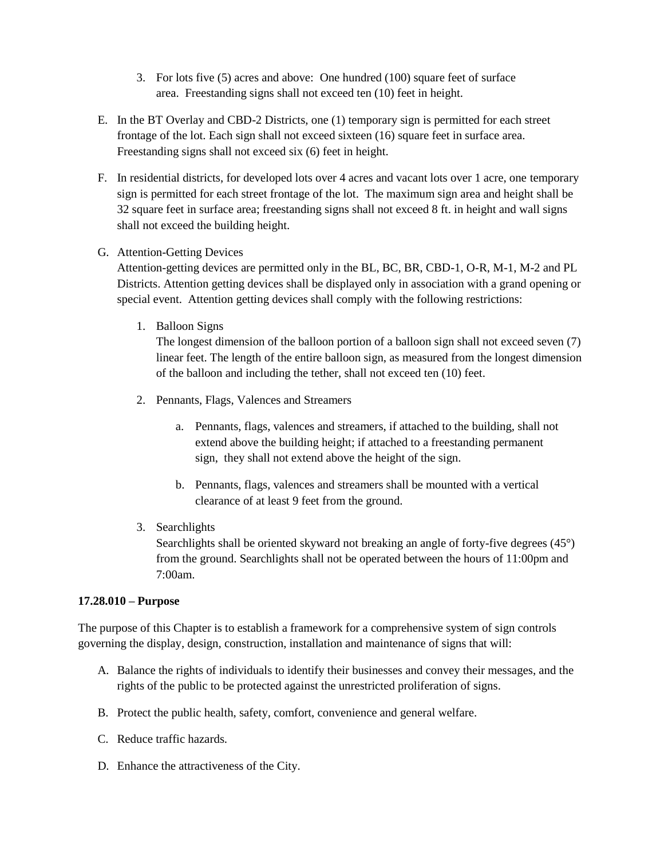- 3. For lots five (5) acres and above: One hundred (100) square feet of surface area. Freestanding signs shall not exceed ten (10) feet in height.
- E. In the BT Overlay and CBD-2 Districts, one (1) temporary sign is permitted for each street frontage of the lot. Each sign shall not exceed sixteen (16) square feet in surface area. Freestanding signs shall not exceed six (6) feet in height.
- F. In residential districts, for developed lots over 4 acres and vacant lots over 1 acre, one temporary sign is permitted for each street frontage of the lot. The maximum sign area and height shall be 32 square feet in surface area; freestanding signs shall not exceed 8 ft. in height and wall signs shall not exceed the building height.

#### G. Attention-Getting Devices

Attention-getting devices are permitted only in the BL, BC, BR, CBD-1, O-R, M-1, M-2 and PL Districts. Attention getting devices shall be displayed only in association with a grand opening or special event. Attention getting devices shall comply with the following restrictions:

1. Balloon Signs

The longest dimension of the balloon portion of a balloon sign shall not exceed seven (7) linear feet. The length of the entire balloon sign, as measured from the longest dimension of the balloon and including the tether, shall not exceed ten (10) feet.

- 2. Pennants, Flags, Valences and Streamers
	- a. Pennants, flags, valences and streamers, if attached to the building, shall not extend above the building height; if attached to a freestanding permanent sign, they shall not extend above the height of the sign.
	- b. Pennants, flags, valences and streamers shall be mounted with a vertical clearance of at least 9 feet from the ground.
- 3. Searchlights

Searchlights shall be oriented skyward not breaking an angle of forty-five degrees (45°) from the ground. Searchlights shall not be operated between the hours of 11:00pm and 7:00am.

#### **[17.28.010 –](https://codebook.stcharlesil.gov/1728-%E2%80%93-signs/1728010) Purpose**

The purpose of this Chapter is to establish a framework for a comprehensive system of sign controls governing the display, design, construction, installation and maintenance of signs that will:

- A. Balance the rights of individuals to identify their businesses and convey their messages, and the rights of the public to be protected against the unrestricted proliferation of signs.
- B. Protect the public health, safety, comfort, convenience and general welfare.
- C. Reduce traffic hazards.
- D. Enhance the attractiveness of the City.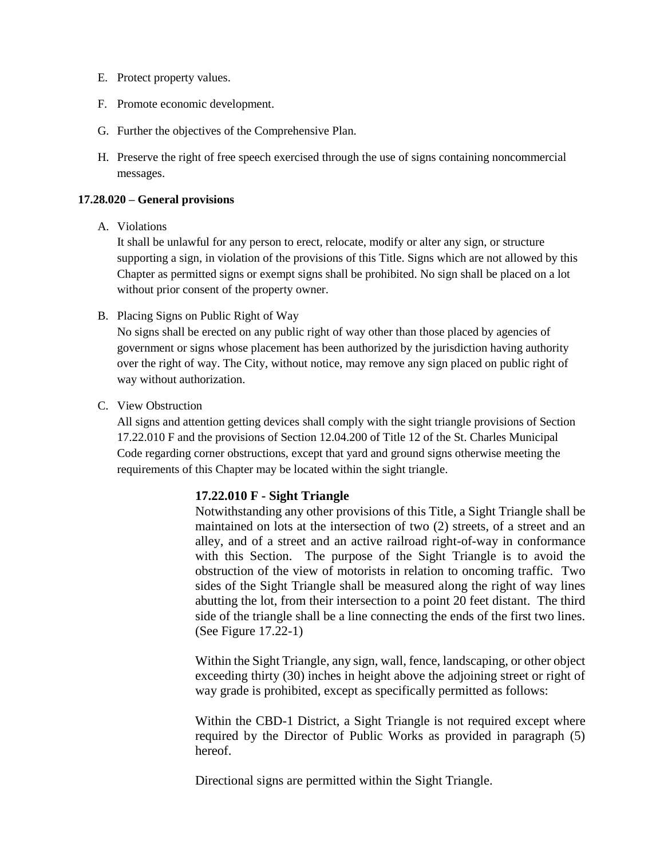- E. Protect property values.
- F. Promote economic development.
- G. Further the objectives of the Comprehensive Plan.
- H. Preserve the right of free speech exercised through the use of signs containing noncommercial messages.

#### **17.28.020 – [General provisions](https://codebook.stcharlesil.gov/1728-%E2%80%93-signs/1728020)**

#### A. Violations

It shall be unlawful for any person to erect, relocate, modify or alter any sign, or structure supporting a sign, in violation of the provisions of this Title. Signs which are not allowed by this Chapter as permitted signs or exempt signs shall be prohibited. No sign shall be placed on a lot without prior consent of the property owner.

B. Placing Signs on Public Right of Way

No signs shall be erected on any public right of way other than those placed by agencies of government or signs whose placement has been authorized by the jurisdiction having authority over the right of way. The City, without notice, may remove any sign placed on public right of way without authorization.

C. View Obstruction

All signs and attention getting devices shall comply with the sight triangle provisions of Section 17.22.010 F and the provisions of Section 12.04.200 of Title 12 of the St. Charles Municipal Code regarding corner obstructions, except that yard and ground signs otherwise meeting the requirements of this Chapter may be located within the sight triangle.

#### **17.22.010 F - Sight Triangle**

Notwithstanding any other provisions of this Title, a Sight Triangle shall be maintained on lots at the intersection of two (2) streets, of a street and an alley, and of a street and an active railroad right-of-way in conformance with this Section. The purpose of the Sight Triangle is to avoid the obstruction of the view of motorists in relation to oncoming traffic. Two sides of the Sight Triangle shall be measured along the right of way lines abutting the lot, from their intersection to a point 20 feet distant. The third side of the triangle shall be a line connecting the ends of the first two lines. (See Figure 17.22-1)

Within the Sight Triangle, any sign, wall, fence, landscaping, or other object exceeding thirty (30) inches in height above the adjoining street or right of way grade is prohibited, except as specifically permitted as follows:

Within the CBD-1 District, a Sight Triangle is not required except where required by the Director of Public Works as provided in paragraph (5) hereof.

Directional signs are permitted within the Sight Triangle.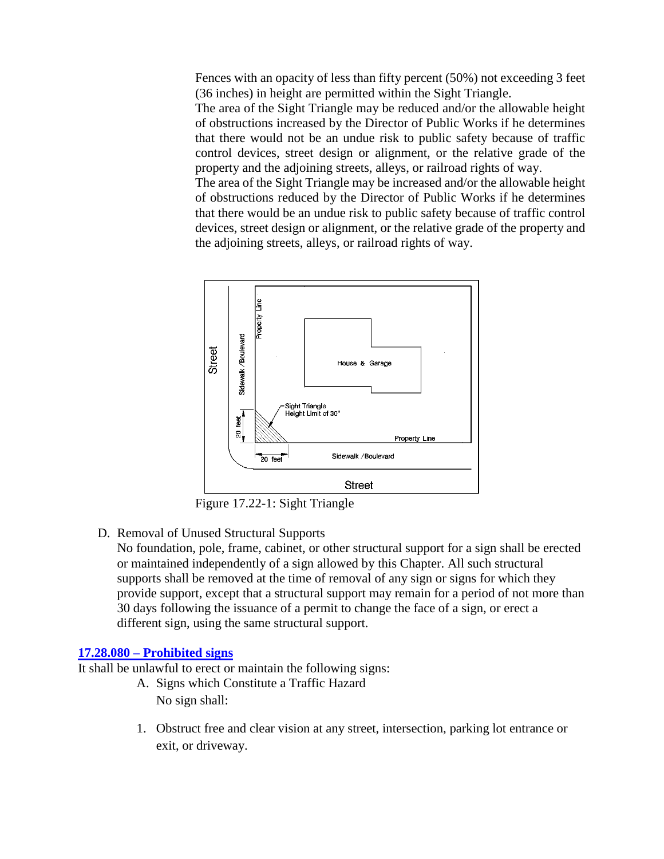Fences with an opacity of less than fifty percent (50%) not exceeding 3 feet (36 inches) in height are permitted within the Sight Triangle.

The area of the Sight Triangle may be reduced and/or the allowable height of obstructions increased by the Director of Public Works if he determines that there would not be an undue risk to public safety because of traffic control devices, street design or alignment, or the relative grade of the property and the adjoining streets, alleys, or railroad rights of way.

The area of the Sight Triangle may be increased and/or the allowable height of obstructions reduced by the Director of Public Works if he determines that there would be an undue risk to public safety because of traffic control devices, street design or alignment, or the relative grade of the property and the adjoining streets, alleys, or railroad rights of way.



Figure 17.22-1: Sight Triangle

D. Removal of Unused Structural Supports

No foundation, pole, frame, cabinet, or other structural support for a sign shall be erected or maintained independently of a sign allowed by this Chapter. All such structural supports shall be removed at the time of removal of any sign or signs for which they provide support, except that a structural support may remain for a period of not more than 30 days following the issuance of a permit to change the face of a sign, or erect a different sign, using the same structural support.

#### **17.28.080 – [Prohibited signs](https://codebook.stcharlesil.gov/1728-%E2%80%93-signs/1728080)**

It shall be unlawful to erect or maintain the following signs:

- A. Signs which Constitute a Traffic Hazard No sign shall:
- 1. Obstruct free and clear vision at any street, intersection, parking lot entrance or exit, or driveway.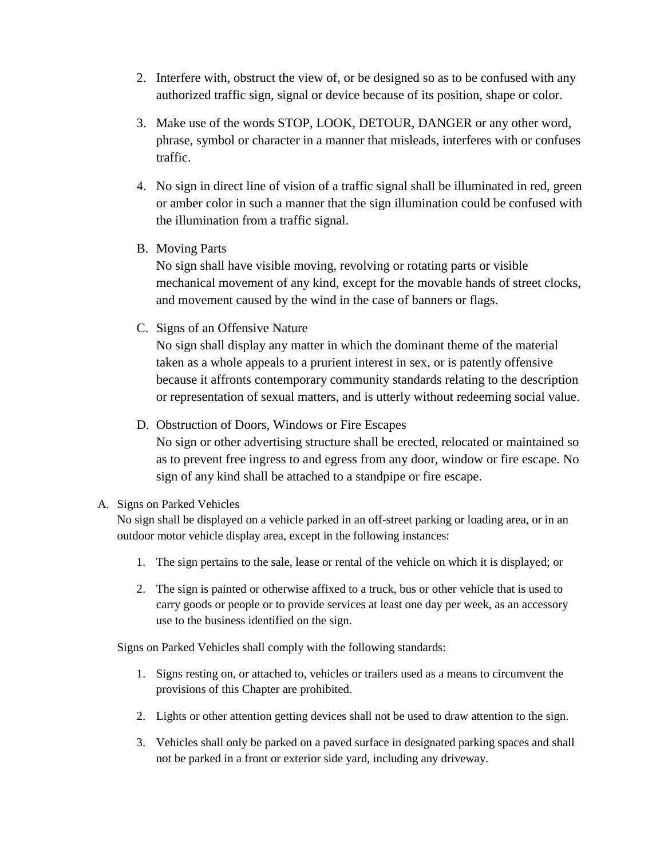- 2. Interfere with, obstruct the view of, or be designed so as to be confused with any authorized traffic sign, signal or device because of its position, shape or color.
- 3. Make use of the words STOP, LOOK, DETOUR, DANGER or any other word, phrase, symbol or character in a manner that misleads, interferes with or confuses traffic.
- 4. No sign in direct line of vision of a traffic signal shall be illuminated in red, green or amber color in such a manner that the sign illumination could be confused with the illumination from a traffic signal.
- B. Moving Parts

No sign shall have visible moving, revolving or rotating parts or visible mechanical movement of any kind, except for the movable hands of street clocks, and movement caused by the wind in the case of banners or flags.

C. Signs of an Offensive Nature

No sign shall display any matter in which the dominant theme of the material taken as a whole appeals to a prurient interest in sex, or is patently offensive because it affronts contemporary community standards relating to the description or representation of sexual matters, and is utterly without redeeming social value.

D. Obstruction of Doors, Windows or Fire Escapes

No sign or other advertising structure shall be erected, relocated or maintained so as to prevent free ingress to and egress from any door, window or fire escape. No sign of any kind shall be attached to a standpipe or fire escape.

#### A. Signs on Parked Vehicles

No sign shall be displayed on a vehicle parked in an off-street parking or loading area, or in an outdoor motor vehicle display area, except in the following instances:

- 1. The sign pertains to the sale, lease or rental of the vehicle on which it is displayed; or
- 2. The sign is painted or otherwise affixed to a truck, bus or other vehicle that is used to carry goods or people or to provide services at least one day per week, as an accessory use to the business identified on the sign.

Signs on Parked Vehicles shall comply with the following standards:

- 1. Signs resting on, or attached to, vehicles or trailers used as a means to circumvent the provisions of this Chapter are prohibited.
- 2. Lights or other attention getting devices shall not be used to draw attention to the sign.
- 3. Vehicles shall only be parked on a paved surface in designated parking spaces and shall not be parked in a front or exterior side yard, including any driveway.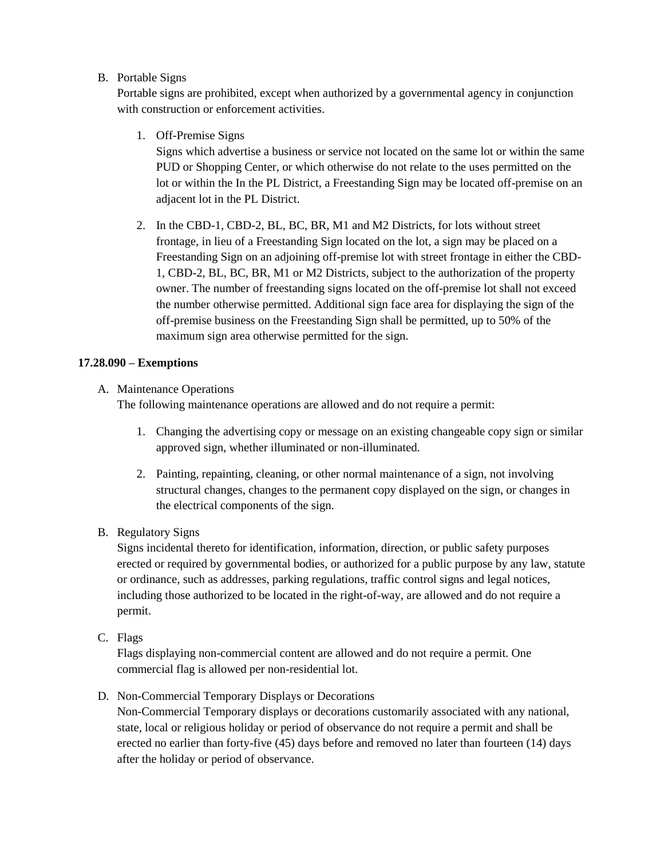#### B. Portable Signs

Portable signs are prohibited, except when authorized by a governmental agency in conjunction with construction or enforcement activities.

1. Off-Premise Signs

Signs which advertise a business or service not located on the same lot or within the same PUD or Shopping Center, or which otherwise do not relate to the uses permitted on the lot or within the In the PL District, a Freestanding Sign may be located off-premise on an adjacent lot in the PL District.

2. In the CBD-1, CBD-2, BL, BC, BR, M1 and M2 Districts, for lots without street frontage, in lieu of a Freestanding Sign located on the lot, a sign may be placed on a Freestanding Sign on an adjoining off-premise lot with street frontage in either the CBD-1, CBD-2, BL, BC, BR, M1 or M2 Districts, subject to the authorization of the property owner. The number of freestanding signs located on the off-premise lot shall not exceed the number otherwise permitted. Additional sign face area for displaying the sign of the off-premise business on the Freestanding Sign shall be permitted, up to 50% of the maximum sign area otherwise permitted for the sign.

#### **17.28.090 – [Exemptions](https://codebook.stcharlesil.gov/1728-%E2%80%93-signs/1728090)**

#### A. Maintenance Operations

The following maintenance operations are allowed and do not require a permit:

- 1. Changing the advertising copy or message on an existing changeable copy sign or similar approved sign, whether illuminated or non-illuminated.
- 2. Painting, repainting, cleaning, or other normal maintenance of a sign, not involving structural changes, changes to the permanent copy displayed on the sign, or changes in the electrical components of the sign.
- B. Regulatory Signs

Signs incidental thereto for identification, information, direction, or public safety purposes erected or required by governmental bodies, or authorized for a public purpose by any law, statute or ordinance, such as addresses, parking regulations, traffic control signs and legal notices, including those authorized to be located in the right-of-way, are allowed and do not require a permit.

C. Flags

Flags displaying non-commercial content are allowed and do not require a permit. One commercial flag is allowed per non-residential lot.

D. Non-Commercial Temporary Displays or Decorations

Non-Commercial Temporary displays or decorations customarily associated with any national, state, local or religious holiday or period of observance do not require a permit and shall be erected no earlier than forty-five (45) days before and removed no later than fourteen (14) days after the holiday or period of observance.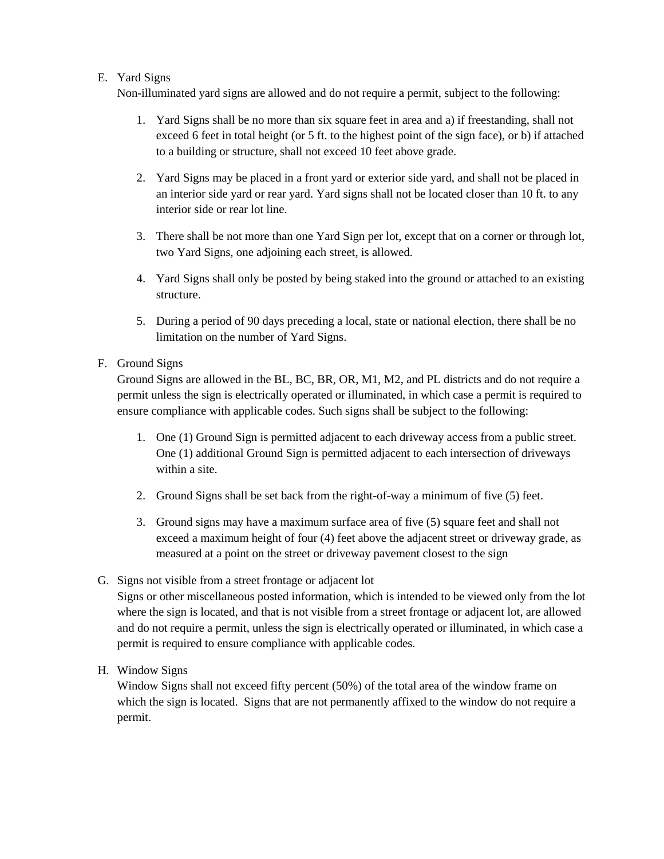#### E. Yard Signs

Non-illuminated yard signs are allowed and do not require a permit, subject to the following:

- 1. Yard Signs shall be no more than six square feet in area and a) if freestanding, shall not exceed 6 feet in total height (or 5 ft. to the highest point of the sign face), or b) if attached to a building or structure, shall not exceed 10 feet above grade.
- 2. Yard Signs may be placed in a front yard or exterior side yard, and shall not be placed in an interior side yard or rear yard. Yard signs shall not be located closer than 10 ft. to any interior side or rear lot line.
- 3. There shall be not more than one Yard Sign per lot, except that on a corner or through lot, two Yard Signs, one adjoining each street, is allowed.
- 4. Yard Signs shall only be posted by being staked into the ground or attached to an existing structure.
- 5. During a period of 90 days preceding a local, state or national election, there shall be no limitation on the number of Yard Signs.

#### F. Ground Signs

Ground Signs are allowed in the BL, BC, BR, OR, M1, M2, and PL districts and do not require a permit unless the sign is electrically operated or illuminated, in which case a permit is required to ensure compliance with applicable codes. Such signs shall be subject to the following:

- 1. One (1) Ground Sign is permitted adjacent to each driveway access from a public street. One (1) additional Ground Sign is permitted adjacent to each intersection of driveways within a site.
- 2. Ground Signs shall be set back from the right-of-way a minimum of five (5) feet.
- 3. Ground signs may have a maximum surface area of five (5) square feet and shall not exceed a maximum height of four (4) feet above the adjacent street or driveway grade, as measured at a point on the street or driveway pavement closest to the sign

#### G. Signs not visible from a street frontage or adjacent lot

Signs or other miscellaneous posted information, which is intended to be viewed only from the lot where the sign is located, and that is not visible from a street frontage or adjacent lot, are allowed and do not require a permit, unless the sign is electrically operated or illuminated, in which case a permit is required to ensure compliance with applicable codes.

#### H. Window Signs

Window Signs shall not exceed fifty percent (50%) of the total area of the window frame on which the sign is located. Signs that are not permanently affixed to the window do not require a permit.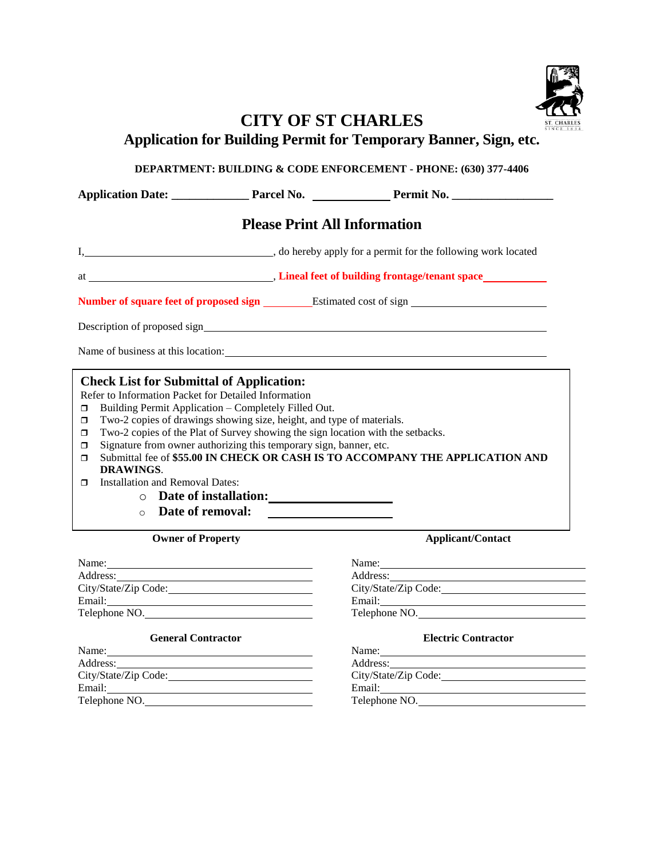

# **CITY OF ST CHARLES**

| DEPARTMENT: BUILDING & CODE ENFORCEMENT - PHONE: (630) 377-4406                                                                                                                                                                                                                                                            |                                                                                                                                                                                                                                                                                                                                                                                                                                |                                                                               |  |  |  |  |
|----------------------------------------------------------------------------------------------------------------------------------------------------------------------------------------------------------------------------------------------------------------------------------------------------------------------------|--------------------------------------------------------------------------------------------------------------------------------------------------------------------------------------------------------------------------------------------------------------------------------------------------------------------------------------------------------------------------------------------------------------------------------|-------------------------------------------------------------------------------|--|--|--|--|
|                                                                                                                                                                                                                                                                                                                            |                                                                                                                                                                                                                                                                                                                                                                                                                                |                                                                               |  |  |  |  |
| <b>Please Print All Information</b>                                                                                                                                                                                                                                                                                        |                                                                                                                                                                                                                                                                                                                                                                                                                                |                                                                               |  |  |  |  |
|                                                                                                                                                                                                                                                                                                                            |                                                                                                                                                                                                                                                                                                                                                                                                                                |                                                                               |  |  |  |  |
|                                                                                                                                                                                                                                                                                                                            |                                                                                                                                                                                                                                                                                                                                                                                                                                |                                                                               |  |  |  |  |
|                                                                                                                                                                                                                                                                                                                            |                                                                                                                                                                                                                                                                                                                                                                                                                                |                                                                               |  |  |  |  |
|                                                                                                                                                                                                                                                                                                                            |                                                                                                                                                                                                                                                                                                                                                                                                                                |                                                                               |  |  |  |  |
|                                                                                                                                                                                                                                                                                                                            |                                                                                                                                                                                                                                                                                                                                                                                                                                |                                                                               |  |  |  |  |
| <b>Check List for Submittal of Application:</b><br>Refer to Information Packet for Detailed Information<br>Building Permit Application - Completely Filled Out.<br>$\Box$<br>$\Box$<br>$\Box$<br>$\Box$<br>$\Box$<br>DRAWINGS.<br><b>Installation and Removal Dates:</b><br>п.<br>$\Omega$<br>Date of removal:<br>$\Omega$ | Two-2 copies of drawings showing size, height, and type of materials.<br>Two-2 copies of the Plat of Survey showing the sign location with the setbacks.<br>Signature from owner authorizing this temporary sign, banner, etc.<br>Date of installation:<br><u> Letting and the set of installation</u><br><u> 1980 - Jan James James Barbara, politik eta politik eta politik eta politik eta politik eta politik eta poli</u> | Submittal fee of \$55.00 IN CHECK OR CASH IS TO ACCOMPANY THE APPLICATION AND |  |  |  |  |

#### **Owner of Property Applicant/Contact**

| Name:                | Name:                |
|----------------------|----------------------|
| Address:             | Address:             |
| City/State/Zip Code: | City/State/Zip Code: |
| Email:               | Email:               |
| Telephone NO.        | Telephone NO.        |
|                      |                      |

| Name:                | Name:                |
|----------------------|----------------------|
| Address:             | Address:             |
| City/State/Zip Code: | City/State/Zip Code: |
| Email:               | Email:               |
| Telephone NO.        | Telephone NO.        |
|                      |                      |

| Name:                |
|----------------------|
| Address: 1988        |
| City/State/Zip Code: |
| Email:               |
| Telephone NO.        |

#### **General Contractor Electric Contractor**

| Name:                |
|----------------------|
| Address:             |
| City/State/Zip Code: |
| Email:               |
| Telephone NO.        |
|                      |